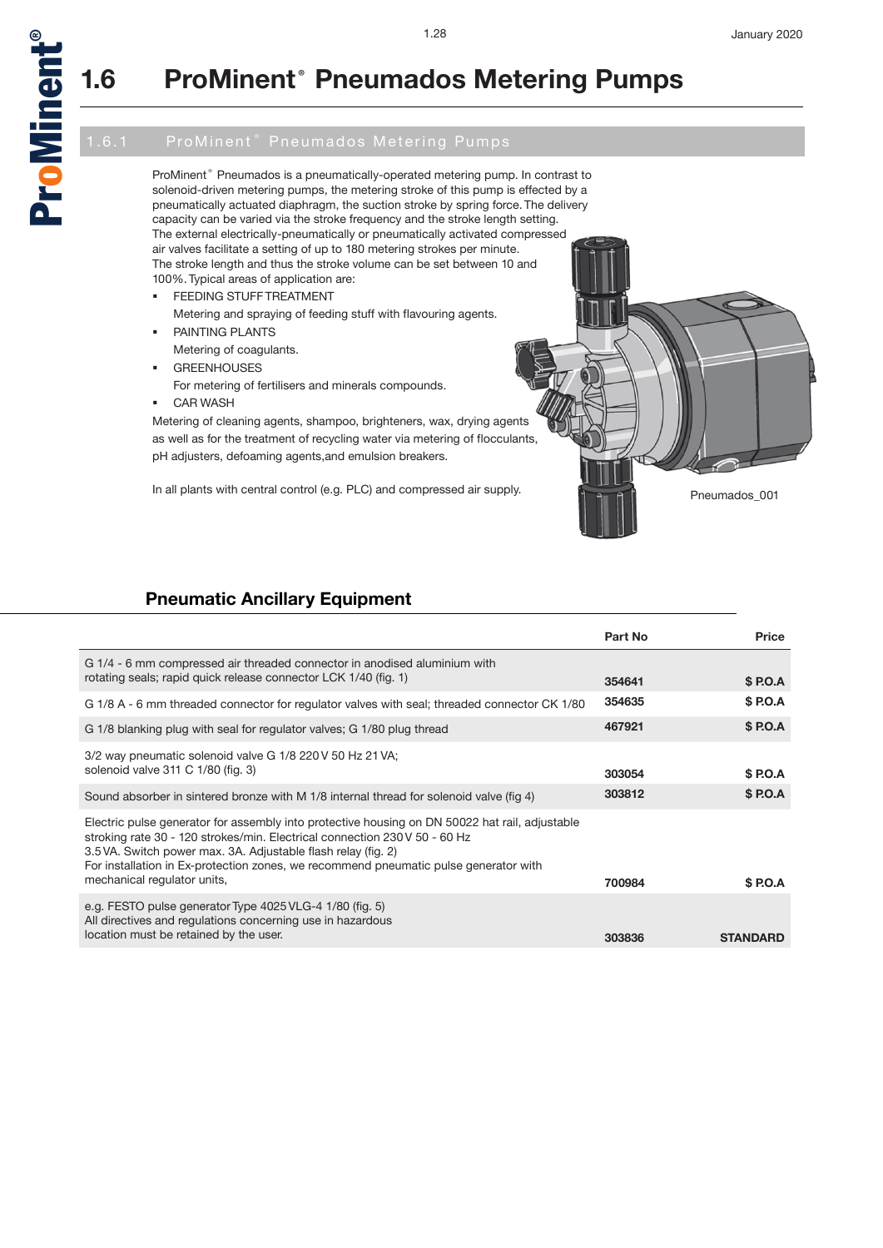

## **1.6 ProMinent® Pneumados Metering Pumps**

ProMinent® Pneumados is a pneumatically-operated metering pump. In contrast to solenoid-driven metering pumps, the metering stroke of this pump is effected by a pneumatically actuated diaphragm, the suction stroke by spring force. The delivery capacity can be varied via the stroke frequency and the stroke length setting. The external electrically-pneumatically or pneumatically activated compressed air valves facilitate a setting of up to 180 metering strokes per minute. The stroke length and thus the stroke volume can be set between 10 and 100%. Typical areas of application are:

- **FEEDING STUFF TREATMENT** 
	- Metering and spraying of feeding stuff with flavouring agents.
	- PAINTING PLANTS Metering of coagulants.
- GREENHOUSES
- 
- For metering of fertilisers and minerals compounds. CAR WASH
- 

Metering of cleaning agents, shampoo, brighteners, wax, drying agents as well as for the treatment of recycling water via metering of flocculants, pH adjusters, defoaming agents,and emulsion breakers.

In all plants with central control (e.g. PLC) and compressed air supply.<br>Pneumados\_001

## **Pneumatic Ancillary Equipment**

|                                                                                                                                                                                                                                                                                                                                                                      | Part No | Price           |
|----------------------------------------------------------------------------------------------------------------------------------------------------------------------------------------------------------------------------------------------------------------------------------------------------------------------------------------------------------------------|---------|-----------------|
| G 1/4 - 6 mm compressed air threaded connector in anodised aluminium with<br>rotating seals; rapid quick release connector LCK 1/40 (fig. 1)                                                                                                                                                                                                                         | 354641  | \$ P.O.A        |
| G 1/8 A - 6 mm threaded connector for regulator valves with seal; threaded connector CK 1/80                                                                                                                                                                                                                                                                         | 354635  | \$ P.O.A        |
| G 1/8 blanking plug with seal for regulator valves; G 1/80 plug thread                                                                                                                                                                                                                                                                                               | 467921  | \$ P.O.A        |
| 3/2 way pneumatic solenoid valve G 1/8 220 V 50 Hz 21 VA;<br>solenoid valve 311 C 1/80 (fig. 3)                                                                                                                                                                                                                                                                      | 303054  | \$ P.O.A        |
| Sound absorber in sintered bronze with M 1/8 internal thread for solenoid valve (fig 4)                                                                                                                                                                                                                                                                              | 303812  | \$ P.O.A        |
| Electric pulse generator for assembly into protective housing on DN 50022 hat rail, adjustable<br>stroking rate 30 - 120 strokes/min. Electrical connection 230 V 50 - 60 Hz<br>3.5 VA. Switch power max. 3A. Adjustable flash relay (fig. 2)<br>For installation in Ex-protection zones, we recommend pneumatic pulse generator with<br>mechanical regulator units, | 700984  | \$ P.O.A        |
| e.g. FESTO pulse generator Type 4025 VLG-4 1/80 (fig. 5)<br>All directives and regulations concerning use in hazardous<br>location must be retained by the user.                                                                                                                                                                                                     | 303836  | <b>STANDARD</b> |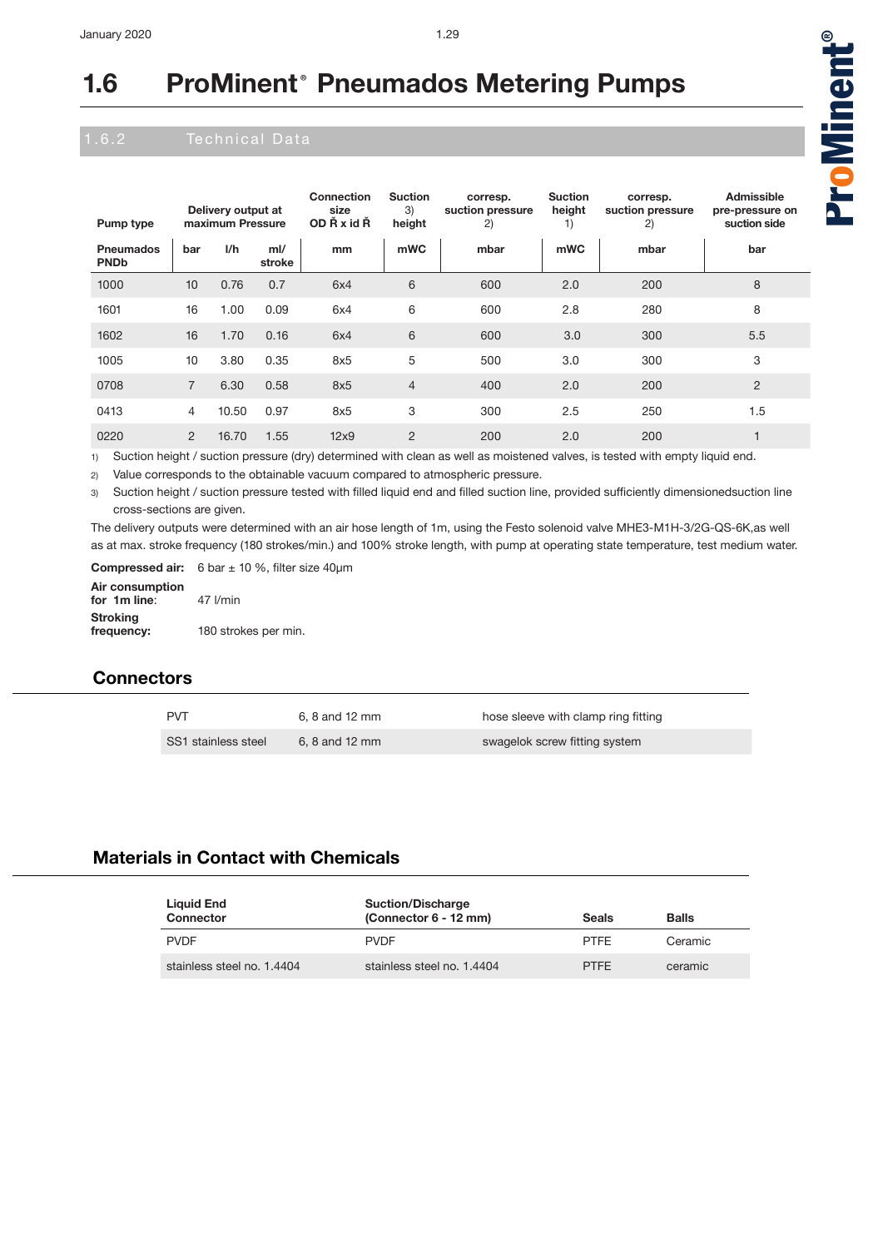| Pump type                       | Delivery output at<br>maximum Pressure |       | Connection<br>size<br>OD Ř x id Ř | <b>Suction</b><br>3)<br>height | corresp.<br>suction pressure<br>2) | <b>Suction</b><br>height<br>1) | corresp.<br>suction pressure<br>2) | Admissible<br>pre-pressure on<br>suction side |                |
|---------------------------------|----------------------------------------|-------|-----------------------------------|--------------------------------|------------------------------------|--------------------------------|------------------------------------|-----------------------------------------------|----------------|
| <b>Pneumados</b><br><b>PNDb</b> | bar                                    | 1/h   | $m$ I/<br>stroke                  | mm                             | mWC                                | mbar                           | mWC                                | mbar                                          | bar            |
| 1000                            | 10                                     | 0.76  | 0.7                               | 6x4                            | 6                                  | 600                            | 2.0                                | 200                                           | 8              |
| 1601                            | 16                                     | 1.00  | 0.09                              | 6x4                            | 6                                  | 600                            | 2.8                                | 280                                           | 8              |
| 1602                            | 16                                     | 1.70  | 0.16                              | 6x4                            | 6                                  | 600                            | 3.0                                | 300                                           | 5.5            |
| 1005                            | 10                                     | 3.80  | 0.35                              | 8x5                            | 5                                  | 500                            | 3.0                                | 300                                           | 3              |
| 0708                            | 7                                      | 6.30  | 0.58                              | 8x5                            | $\overline{4}$                     | 400                            | 2.0                                | 200                                           | $\overline{2}$ |
| 0413                            | $\overline{4}$                         | 10.50 | 0.97                              | 8x5                            | 3                                  | 300                            | 2.5                                | 250                                           | 1.5            |
| 0220                            | $\overline{2}$                         | 16.70 | 1.55                              | 12x9                           | $\overline{2}$                     | 200                            | 2.0                                | 200                                           |                |

1) Suction height / suction pressure (dry) determined with clean as well as moistened valves, is tested with empty liquid end.

2) Value corresponds to the obtainable vacuum compared to atmospheric pressure.

3) Suction height / suction pressure tested with filled liquid end and filled suction line, provided sufficiently dimensionedsuction line cross-sections are given.

The delivery outputs were determined with an air hose length of 1m, using the Festo solenoid valve MHE3-M1H-3/2G-QS-6K,as well as at max. stroke frequency (180 strokes/min.) and 100% stroke length, with pump at operating state temperature, test medium water.

**Compressed air:** 6 bar ± 10 %, filter size 40µm

| Air consumption<br>for 1m line: | $47$ $l/min$         |
|---------------------------------|----------------------|
| Stroking<br>frequency:          | 180 strokes per min. |

### **Connectors**

| <b>PVT</b>          | 6, 8 and 12 mm | hose sleeve with clamp ring fitting |
|---------------------|----------------|-------------------------------------|
| SS1 stainless steel | 6, 8 and 12 mm | swagelok screw fitting system       |

### **Materials in Contact with Chemicals**

| Liquid End<br>Connector    | <b>Suction/Discharge</b><br>(Connector 6 - 12 mm) | <b>Seals</b> | <b>Balls</b> |
|----------------------------|---------------------------------------------------|--------------|--------------|
| <b>PVDF</b>                | <b>PVDF</b>                                       | <b>PTFF</b>  | Ceramic      |
| stainless steel no. 1.4404 | stainless steel no. 1.4404                        | <b>PTFF</b>  | ceramic      |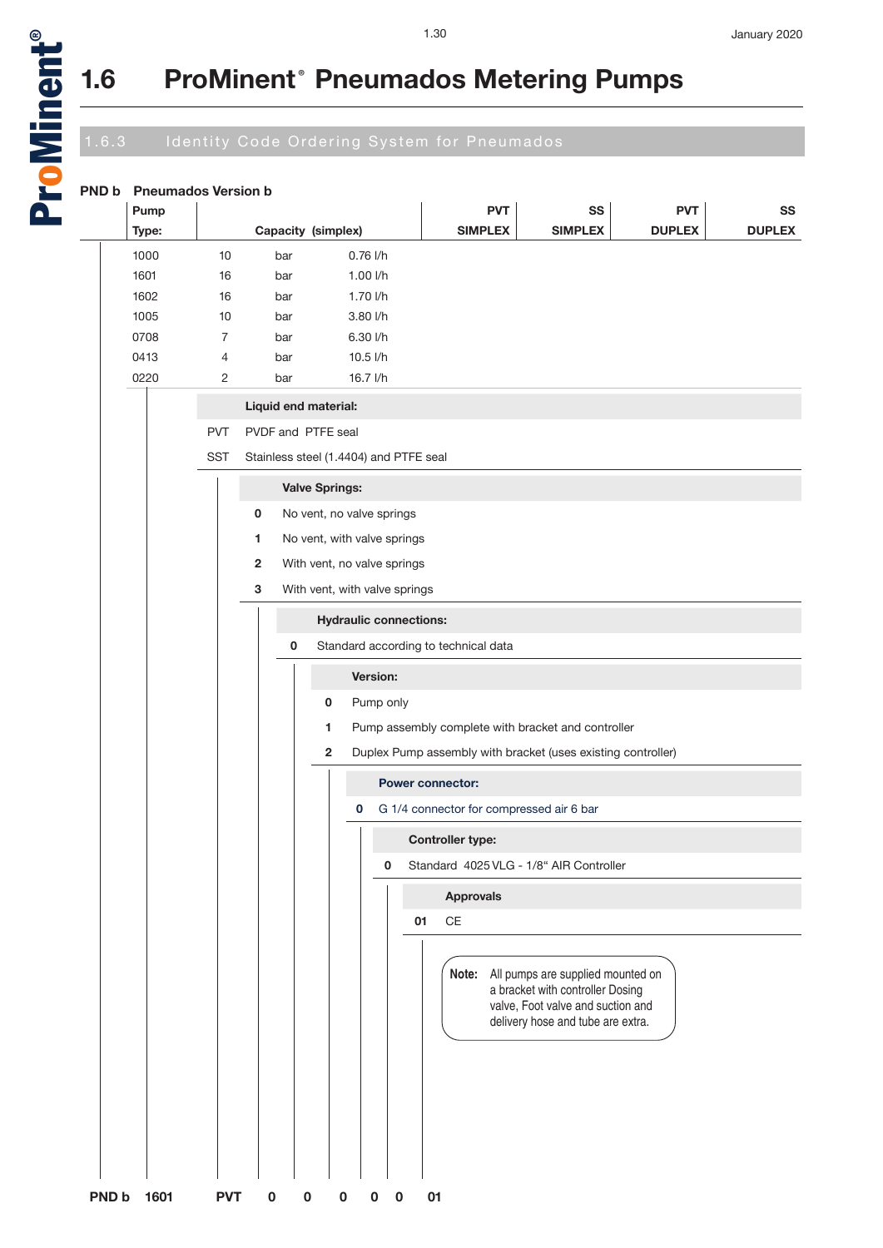a<br>D

oMinent

®

## **1.6 ProMinent® Pneumados Metering Pumps**

## 1.6.3 Identity Code Ordering System for Pneumados

| <b>PND b</b> | <b>Pneumados Version b</b> |                |                                        |                       |                               |                                          |                                                                                                                                                       |               |               |
|--------------|----------------------------|----------------|----------------------------------------|-----------------------|-------------------------------|------------------------------------------|-------------------------------------------------------------------------------------------------------------------------------------------------------|---------------|---------------|
|              | Pump                       |                |                                        |                       |                               | <b>PVT</b>                               | SS                                                                                                                                                    | <b>PVT</b>    | SS            |
|              | Type:                      |                | Capacity (simplex)                     |                       |                               | <b>SIMPLEX</b>                           | <b>SIMPLEX</b>                                                                                                                                        | <b>DUPLEX</b> | <b>DUPLEX</b> |
|              | 1000                       | 10             | bar                                    |                       | $0.76$ $1/h$                  |                                          |                                                                                                                                                       |               |               |
|              | 1601                       | 16             | bar                                    |                       | 1.00 l/h                      |                                          |                                                                                                                                                       |               |               |
|              | 1602                       | 16             | bar                                    |                       | 1.70 l/h                      |                                          |                                                                                                                                                       |               |               |
|              | 1005                       | 10             | bar                                    |                       | 3.80 l/h                      |                                          |                                                                                                                                                       |               |               |
|              | 0708                       | 7              | bar                                    |                       | 6.30 l/h                      |                                          |                                                                                                                                                       |               |               |
|              | 0413                       | 4              | bar                                    |                       | 10.5 l/h                      |                                          |                                                                                                                                                       |               |               |
|              | 0220                       | $\overline{2}$ | bar                                    |                       | 16.7 l/h                      |                                          |                                                                                                                                                       |               |               |
|              |                            |                | Liquid end material:                   |                       |                               |                                          |                                                                                                                                                       |               |               |
|              |                            | <b>PVT</b>     | PVDF and PTFE seal                     |                       |                               |                                          |                                                                                                                                                       |               |               |
|              |                            | <b>SST</b>     | Stainless steel (1.4404) and PTFE seal |                       |                               |                                          |                                                                                                                                                       |               |               |
|              |                            |                |                                        | <b>Valve Springs:</b> |                               |                                          |                                                                                                                                                       |               |               |
|              |                            |                | 0                                      |                       | No vent, no valve springs     |                                          |                                                                                                                                                       |               |               |
|              |                            |                | 1                                      |                       | No vent, with valve springs   |                                          |                                                                                                                                                       |               |               |
|              |                            |                | $\overline{2}$                         |                       | With vent, no valve springs   |                                          |                                                                                                                                                       |               |               |
|              |                            |                | 3                                      |                       | With vent, with valve springs |                                          |                                                                                                                                                       |               |               |
|              |                            |                |                                        |                       | <b>Hydraulic connections:</b> |                                          |                                                                                                                                                       |               |               |
|              |                            |                | 0                                      |                       |                               | Standard according to technical data     |                                                                                                                                                       |               |               |
|              |                            |                |                                        |                       | <b>Version:</b>               |                                          |                                                                                                                                                       |               |               |
|              |                            |                |                                        | 0                     | Pump only                     |                                          |                                                                                                                                                       |               |               |
|              |                            |                |                                        | 1.                    |                               |                                          | Pump assembly complete with bracket and controller                                                                                                    |               |               |
|              |                            |                |                                        | $\mathbf{2}$          |                               |                                          | Duplex Pump assembly with bracket (uses existing controller)                                                                                          |               |               |
|              |                            |                |                                        |                       |                               | <b>Power connector:</b>                  |                                                                                                                                                       |               |               |
|              |                            |                |                                        |                       | 0                             | G 1/4 connector for compressed air 6 bar |                                                                                                                                                       |               |               |
|              |                            |                |                                        |                       |                               | <b>Controller type:</b>                  |                                                                                                                                                       |               |               |
|              |                            |                |                                        |                       | 0                             |                                          | Standard 4025 VLG - 1/8" AIR Controller                                                                                                               |               |               |
|              |                            |                |                                        |                       |                               | <b>Approvals</b>                         |                                                                                                                                                       |               |               |
|              |                            |                |                                        |                       |                               | $\mathsf{CE}$<br>01                      |                                                                                                                                                       |               |               |
|              |                            |                |                                        |                       |                               |                                          | Note: All pumps are supplied mounted on<br>a bracket with controller Dosing<br>valve, Foot valve and suction and<br>delivery hose and tube are extra. |               |               |
|              |                            |                |                                        |                       |                               |                                          |                                                                                                                                                       |               |               |